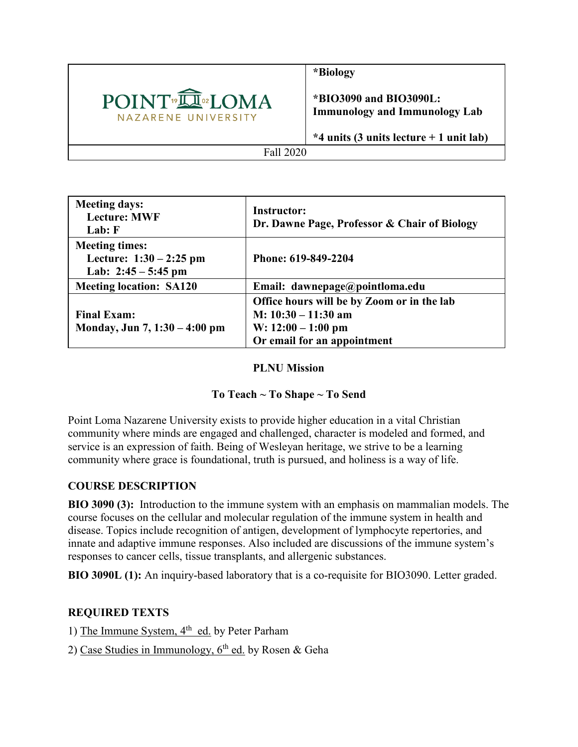

**\*Biology**

**\*BIO3090 and BIO3090L: Immunology and Immunology Lab**

**\*4 units (3 units lecture + 1 unit lab)**

#### Fall 2020

| <b>Meeting days:</b><br><b>Lecture: MWF</b><br>Lab: F                       | <b>Instructor:</b><br>Dr. Dawne Page, Professor & Chair of Biology                                                         |
|-----------------------------------------------------------------------------|----------------------------------------------------------------------------------------------------------------------------|
| <b>Meeting times:</b><br>Lecture: $1:30 - 2:25$ pm<br>Lab: $2:45 - 5:45$ pm | Phone: 619-849-2204                                                                                                        |
| <b>Meeting location: SA120</b>                                              | Email: dawnepage@pointloma.edu                                                                                             |
| <b>Final Exam:</b><br>Monday, Jun $7, 1:30 - 4:00$ pm                       | Office hours will be by Zoom or in the lab<br>$M: 10:30 - 11:30$ am<br>W: $12:00 - 1:00$ pm<br>Or email for an appointment |

#### **PLNU Mission**

## **To Teach ~ To Shape ~ To Send**

Point Loma Nazarene University exists to provide higher education in a vital Christian community where minds are engaged and challenged, character is modeled and formed, and service is an expression of faith. Being of Wesleyan heritage, we strive to be a learning community where grace is foundational, truth is pursued, and holiness is a way of life.

## **COURSE DESCRIPTION**

**BIO 3090 (3):** Introduction to the immune system with an emphasis on mammalian models. The course focuses on the cellular and molecular regulation of the immune system in health and disease. Topics include recognition of antigen, development of lymphocyte repertories, and innate and adaptive immune responses. Also included are discussions of the immune system's responses to cancer cells, tissue transplants, and allergenic substances.

**BIO 3090L (1):** An inquiry-based laboratory that is a co-requisite for BIO3090. Letter graded.

## **REQUIRED TEXTS**

1) The Immune System,  $4<sup>th</sup>$  ed. by Peter Parham

2) Case Studies in Immunology,  $6<sup>th</sup>$  ed. by Rosen & Geha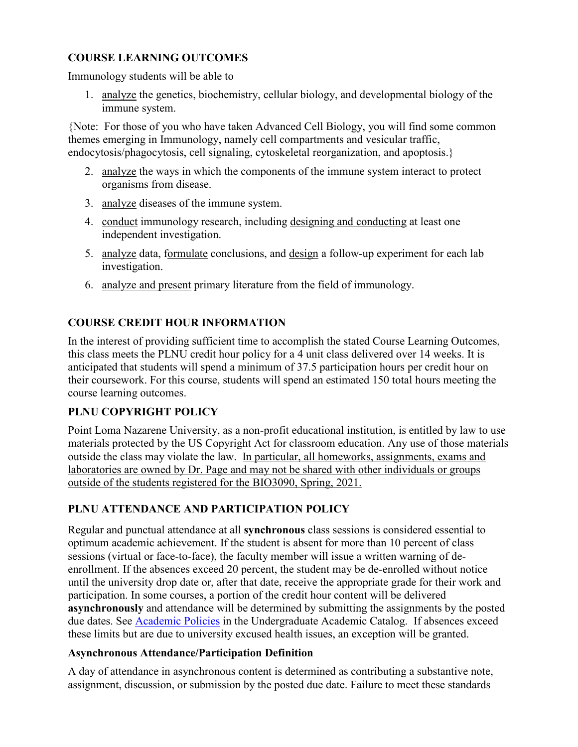# **COURSE LEARNING OUTCOMES**

Immunology students will be able to

1. analyze the genetics, biochemistry, cellular biology, and developmental biology of the immune system.

{Note: For those of you who have taken Advanced Cell Biology, you will find some common themes emerging in Immunology, namely cell compartments and vesicular traffic, endocytosis/phagocytosis, cell signaling, cytoskeletal reorganization, and apoptosis.}

- 2. analyze the ways in which the components of the immune system interact to protect organisms from disease.
- 3. analyze diseases of the immune system.
- 4. conduct immunology research, including designing and conducting at least one independent investigation.
- 5. analyze data, formulate conclusions, and design a follow-up experiment for each lab investigation.
- 6. analyze and present primary literature from the field of immunology.

## **COURSE CREDIT HOUR INFORMATION**

In the interest of providing sufficient time to accomplish the stated Course Learning Outcomes, this class meets the PLNU credit hour policy for a 4 unit class delivered over 14 weeks. It is anticipated that students will spend a minimum of 37.5 participation hours per credit hour on their coursework. For this course, students will spend an estimated 150 total hours meeting the course learning outcomes.

## **PLNU COPYRIGHT POLICY**

Point Loma Nazarene University, as a non-profit educational institution, is entitled by law to use materials protected by the US Copyright Act for classroom education. Any use of those materials outside the class may violate the law. In particular, all homeworks, assignments, exams and laboratories are owned by Dr. Page and may not be shared with other individuals or groups outside of the students registered for the BIO3090, Spring, 2021.

# **PLNU ATTENDANCE AND PARTICIPATION POLICY**

Regular and punctual attendance at all **synchronous** class sessions is considered essential to optimum academic achievement. If the student is absent for more than 10 percent of class sessions (virtual or face-to-face), the faculty member will issue a written warning of deenrollment. If the absences exceed 20 percent, the student may be de-enrolled without notice until the university drop date or, after that date, receive the appropriate grade for their work and participation. In some courses, a portion of the credit hour content will be delivered **asynchronously** and attendance will be determined by submitting the assignments by the posted due dates. See [Academic Policies](https://catalog.pointloma.edu/content.php?catoid=46&navoid=2650#Class_Attendance) in the Undergraduate Academic Catalog. If absences exceed these limits but are due to university excused health issues, an exception will be granted.

## **Asynchronous Attendance/Participation Definition**

A day of attendance in asynchronous content is determined as contributing a substantive note, assignment, discussion, or submission by the posted due date. Failure to meet these standards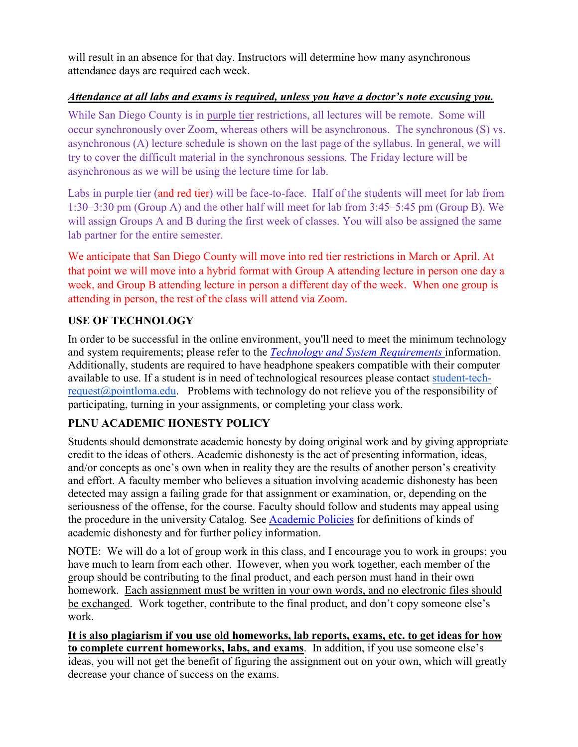will result in an absence for that day. Instructors will determine how many asynchronous attendance days are required each week.

# *Attendance at all labs and exams is required, unless you have a doctor's note excusing you.*

While San Diego County is in purple tier restrictions, all lectures will be remote. Some will occur synchronously over Zoom, whereas others will be asynchronous. The synchronous (S) vs. asynchronous (A) lecture schedule is shown on the last page of the syllabus. In general, we will try to cover the difficult material in the synchronous sessions. The Friday lecture will be asynchronous as we will be using the lecture time for lab.

Labs in purple tier (and red tier) will be face-to-face. Half of the students will meet for lab from 1:30–3:30 pm (Group A) and the other half will meet for lab from 3:45–5:45 pm (Group B). We will assign Groups A and B during the first week of classes. You will also be assigned the same lab partner for the entire semester.

We anticipate that San Diego County will move into red tier restrictions in March or April. At that point we will move into a hybrid format with Group A attending lecture in person one day a week, and Group B attending lecture in person a different day of the week. When one group is attending in person, the rest of the class will attend via Zoom.

# **USE OF TECHNOLOGY**

In order to be successful in the online environment, you'll need to meet the minimum technology and system requirements; please refer to the *[Technology and System Requirements](https://help.pointloma.edu/TDClient/1808/Portal/KB/ArticleDet?ID=108349)* information. Additionally, students are required to have headphone speakers compatible with their computer available to use. If a student is in need of technological resources please contact [student-tech](mailto:student-tech-request@pointloma.edu)[request@pointloma.edu.](mailto:student-tech-request@pointloma.edu) Problems with technology do not relieve you of the responsibility of participating, turning in your assignments, or completing your class work.

# **PLNU ACADEMIC HONESTY POLICY**

Students should demonstrate academic honesty by doing original work and by giving appropriate credit to the ideas of others. Academic dishonesty is the act of presenting information, ideas, and/or concepts as one's own when in reality they are the results of another person's creativity and effort. A faculty member who believes a situation involving academic dishonesty has been detected may assign a failing grade for that assignment or examination, or, depending on the seriousness of the offense, for the course. Faculty should follow and students may appeal using the procedure in the university Catalog. See [Academic Policies](https://catalog.pointloma.edu/content.php?catoid=41&navoid=2435#Academic_Honesty) for definitions of kinds of academic dishonesty and for further policy information.

NOTE: We will do a lot of group work in this class, and I encourage you to work in groups; you have much to learn from each other. However, when you work together, each member of the group should be contributing to the final product, and each person must hand in their own homework. Each assignment must be written in your own words, and no electronic files should be exchanged. Work together, contribute to the final product, and don't copy someone else's work.

**It is also plagiarism if you use old homeworks, lab reports, exams, etc. to get ideas for how to complete current homeworks, labs, and exams**. In addition, if you use someone else's ideas, you will not get the benefit of figuring the assignment out on your own, which will greatly decrease your chance of success on the exams.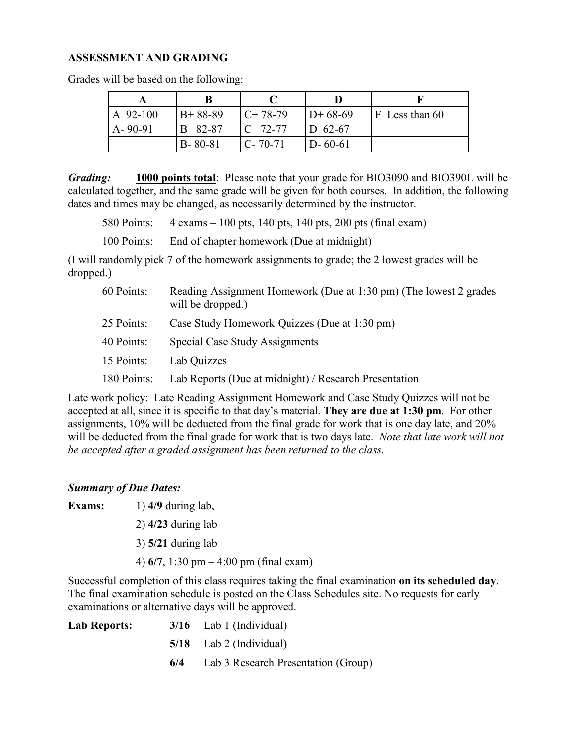#### **ASSESSMENT AND GRADING**

| $A$ 92-100    | $B+88-89$      | $C+78-79$      | $D+68-69$     | $F$ Less than 60 |
|---------------|----------------|----------------|---------------|------------------|
| $A - 90 - 91$ | <b>B</b> 82-87 | $\Gamma$ 72-77 | $ID 62-67$    |                  |
|               | $B - 80 - 81$  | $C - 70 - 71$  | $D - 60 - 61$ |                  |

Grades will be based on the following:

*Grading:* **1000 points total**: Please note that your grade for BIO3090 and BIO390L will be calculated together, and the same grade will be given for both courses. In addition, the following dates and times may be changed, as necessarily determined by the instructor.

580 Points: 4 exams – 100 pts, 140 pts, 140 pts, 200 pts (final exam)

100 Points: End of chapter homework (Due at midnight)

(I will randomly pick 7 of the homework assignments to grade; the 2 lowest grades will be dropped.)

| 60 Points:  | Reading Assignment Homework (Due at 1:30 pm) (The lowest 2 grades<br>will be dropped.) |
|-------------|----------------------------------------------------------------------------------------|
| 25 Points:  | Case Study Homework Quizzes (Due at 1:30 pm)                                           |
| 40 Points:  | Special Case Study Assignments                                                         |
| 15 Points:  | Lab Quizzes                                                                            |
| 180 Points: | Lab Reports (Due at midnight) / Research Presentation                                  |

Late work policy: Late Reading Assignment Homework and Case Study Quizzes will not be accepted at all, since it is specific to that day's material. **They are due at 1:30 pm**. For other assignments, 10% will be deducted from the final grade for work that is one day late, and 20% will be deducted from the final grade for work that is two days late. *Note that late work will not be accepted after a graded assignment has been returned to the class.*

#### *Summary of Due Dates:*

- **Exams:** 1) **4/9** during lab,
	- 2) **4/23** during lab
	- 3) **5/21** during lab

4) **6/7**, 1:30 pm – 4:00 pm (final exam)

Successful completion of this class requires taking the final examination **on its scheduled day**. The final examination schedule is posted on the Class Schedules site. No requests for early examinations or alternative days will be approved.

| Lab Reports: |     | $3/16$ Lab 1 (Individual)           |
|--------------|-----|-------------------------------------|
|              |     | $5/18$ Lab 2 (Individual)           |
|              | 6/4 | Lab 3 Research Presentation (Group) |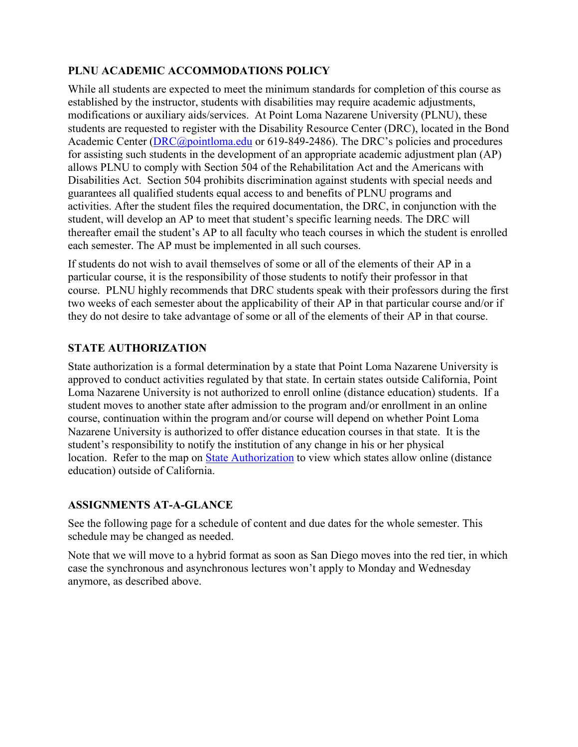# **PLNU ACADEMIC ACCOMMODATIONS POLICY**

While all students are expected to meet the minimum standards for completion of this course as established by the instructor, students with disabilities may require academic adjustments, modifications or auxiliary aids/services. At Point Loma Nazarene University (PLNU), these students are requested to register with the Disability Resource Center (DRC), located in the Bond Academic Center [\(DRC@pointloma.edu](mailto:DRC@pointloma.edu) or 619-849-2486). The DRC's policies and procedures for assisting such students in the development of an appropriate academic adjustment plan (AP) allows PLNU to comply with Section 504 of the Rehabilitation Act and the Americans with Disabilities Act. Section 504 prohibits discrimination against students with special needs and guarantees all qualified students equal access to and benefits of PLNU programs and activities. After the student files the required documentation, the DRC, in conjunction with the student, will develop an AP to meet that student's specific learning needs. The DRC will thereafter email the student's AP to all faculty who teach courses in which the student is enrolled each semester. The AP must be implemented in all such courses.

If students do not wish to avail themselves of some or all of the elements of their AP in a particular course, it is the responsibility of those students to notify their professor in that course. PLNU highly recommends that DRC students speak with their professors during the first two weeks of each semester about the applicability of their AP in that particular course and/or if they do not desire to take advantage of some or all of the elements of their AP in that course.

## **STATE AUTHORIZATION**

State authorization is a formal determination by a state that Point Loma Nazarene University is approved to conduct activities regulated by that state. In certain states outside California, Point Loma Nazarene University is not authorized to enroll online (distance education) students. If a student moves to another state after admission to the program and/or enrollment in an online course, continuation within the program and/or course will depend on whether Point Loma Nazarene University is authorized to offer distance education courses in that state. It is the student's responsibility to notify the institution of any change in his or her physical location. Refer to the map on [State Authorization](https://www.pointloma.edu/offices/office-institutional-effectiveness-research/disclosures) to view which states allow online (distance education) outside of California.

#### **ASSIGNMENTS AT-A-GLANCE**

See the following page for a schedule of content and due dates for the whole semester. This schedule may be changed as needed.

Note that we will move to a hybrid format as soon as San Diego moves into the red tier, in which case the synchronous and asynchronous lectures won't apply to Monday and Wednesday anymore, as described above.